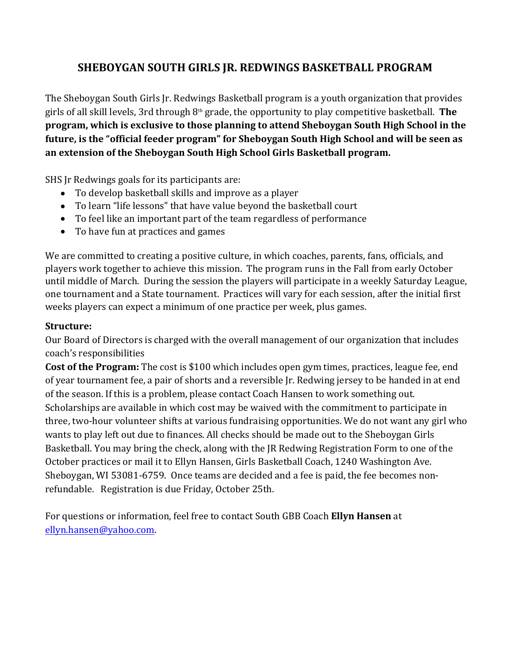## **SHEBOYGAN SOUTH GIRLS JR. REDWINGS BASKETBALL PROGRAM**

The Sheboygan South Girls Jr. Redwings Basketball program is a youth organization that provides girls of all skill levels, 3rd through 8<sup>th</sup> grade, the opportunity to play competitive basketball. **The program, which is exclusive to those planning to attend Sheboygan South High School in the future, is the "official feeder program" for Sheboygan South High School and will be seen as an extension of the Sheboygan South High School Girls Basketball program.** SHS Jr Redwings goals for its participants are:

- To develop basketball skills and improve as a player
- To learn "life lessons" that have value beyond the basketball court
- To feel like an important part of the team regardless of performance
- To have fun at practices and games

We are committed to creating a positive culture, in which coaches, parents, fans, officials, and players work together to achieve this mission. The program runs in the Fall from early October until middle of March. During the session the players will participate in a weekly Saturday League, one tournament and a State tournament. Practices will vary for each session, after the initial first weeks players can expect a minimum of one practice per week, plus games.

### **Structure:**

Our Board of Directors is charged with the overall management of our organization that includes coach's responsibilities

**Cost of the Program:** The cost is \$100 which includes open gym times, practices, league fee, end of year tournament fee, a pair of shorts and a reversible Jr. Redwing jersey to be handed in at end of the season. If this is a problem, please contact Coach Hansen to work something out. Scholarships are available in which cost may be waived with the commitment to participate in three, two-hour volunteer shifts at various fundraising opportunities. We do not want any girl who wants to play left out due to finances. All checks should be made out to the Sheboygan Girls Basketball. You may bring the check, along with the JR Redwing Registration Form to one of the October practices or mail it to Ellyn Hansen, Girls Basketball Coach, 1240 Washington Ave. Sheboygan, WI 53081-6759. Once teams are decided and a fee is paid, the fee becomes nonrefundable. Registration is due Friday, October 25th.

For questions or information, feel free to contact South GBB Coach **Ellyn Hansen** at [ellyn.hansen@yahoo.com](mailto:ellyn.hansen@yahoo.com).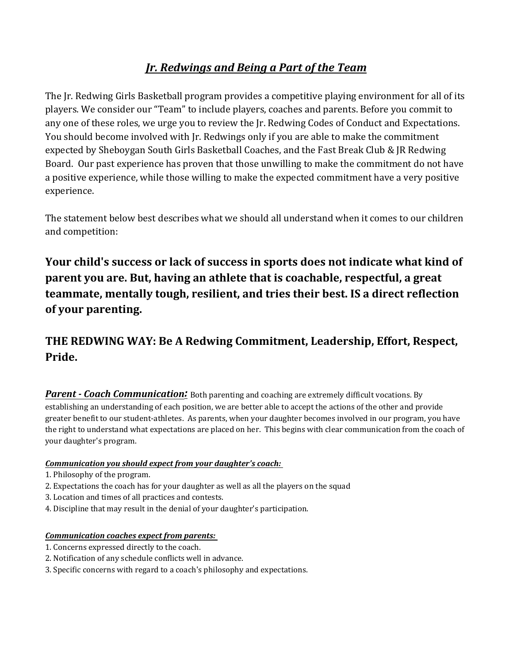## *Jr. Redwings and Being a Part of the Team*

The Jr. Redwing Girls Basketball program provides a competitive playing environment for all of its players. We consider our "Team" to include players, coaches and parents. Before you commit to any one of these roles, we urge you to review the Jr. Redwing Codes of Conduct and Expectations. You should become involved with Jr. Redwings only if you are able to make the commitment expected by Sheboygan South Girls Basketball Coaches, and the Fast Break Club & JR Redwing Board. Our past experience has proven that those unwilling to make the commitment do not have a positive experience, while those willing to make the expected commitment have a very positive experience.

The statement below best describes what we should all understand when it comes to our children and competition:

**Your child's success or lack of success in sports does not indicate what kind of parent you are. But, having an athlete that is coachable, respectful, a great teammate, mentally tough, resilient, and tries their best. IS a direct reflection of your parenting.** 

# **THE REDWING WAY: Be A Redwing Commitment, Leadership, Effort, Respect, Pride.**

**Parent - Coach Communication**<sup>*:*</sup> Both parenting and coaching are extremely difficult vocations. By establishing an understanding of each position, we are better able to accept the actions of the other and provide greater benefit to our student-athletes. As parents, when your daughter becomes involved in our program, you have the right to understand what expectations are placed on her. This begins with clear communication from the coach of your daughter's program.

### *Communication you should expect from your daughter's coach:*

- 1. Philosophy of the program.
- 2. Expectations the coach has for your daughter as well as all the players on the squad
- 3. Location and times of all practices and contests.
- 4. Discipline that may result in the denial of your daughter's participation.

### *Communication coaches expect from parents:*

- 1. Concerns expressed directly to the coach.
- 2. Notification of any schedule conflicts well in advance.
- 3. Specific concerns with regard to a coach's philosophy and expectations.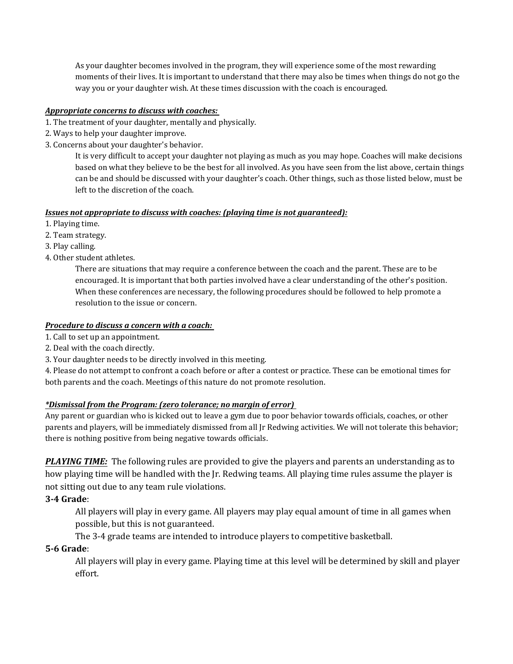As your daughter becomes involved in the program, they will experience some of the most rewarding moments of their lives. It is important to understand that there may also be times when things do not go the way you or your daughter wish. At these times discussion with the coach is encouraged.

#### *Appropriate concerns to discuss with coaches:*

- 1. The treatment of your daughter, mentally and physically.
- 2. Ways to help your daughter improve.
- 3. Concerns about your daughter's behavior.

It is very difficult to accept your daughter not playing as much as you may hope. Coaches will make decisions based on what they believe to be the best for all involved. As you have seen from the list above, certain things can be and should be discussed with your daughter's coach. Other things, such as those listed below, must be left to the discretion of the coach.

#### *Issues not appropriate to discuss with coaches: (playing time is not guaranteed):*

- 1. Playing time.
- 2. Team strategy.
- 3. Play calling.
- 4. Other student athletes.

There are situations that may require a conference between the coach and the parent. These are to be encouraged. It is important that both parties involved have a clear understanding of the other's position. When these conferences are necessary, the following procedures should be followed to help promote a resolution to the issue or concern.

#### *Procedure to discuss a concern with a coach:*

- 1. Call to set up an appointment.
- 2. Deal with the coach directly.
- 3. Your daughter needs to be directly involved in this meeting.

4. Please do not attempt to confront a coach before or after a contest or practice. These can be emotional times for both parents and the coach. Meetings of this nature do not promote resolution.

#### *\*Dismissal from the Program: (zero tolerance; no margin of error)*

Any parent or guardian who is kicked out to leave a gym due to poor behavior towards officials, coaches, or other parents and players, will be immediately dismissed from all Jr Redwing activities. We will not tolerate this behavior; there is nothing positive from being negative towards officials.

*PLAYING TIME:*The following rules are provided to give the players and parents an understanding as to how playing time will be handled with the Jr. Redwing teams. All playing time rules assume the player is not sitting out due to any team rule violations.

### **3-4 Grade**:

All players will play in every game. All players may play equal amount of time in all games when possible, but this is not guaranteed.

The 3-4 grade teams are intended to introduce players to competitive basketball.

### **5-6 Grade**:

All players will play in every game. Playing time at this level will be determined by skill and player effort.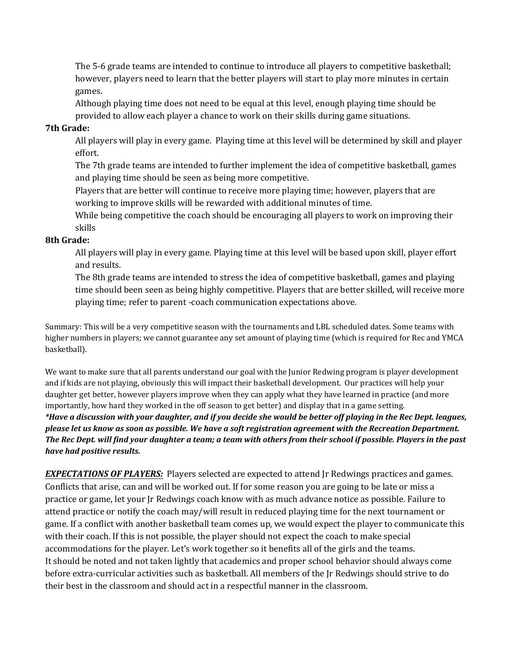The 5-6 grade teams are intended to continue to introduce all players to competitive basketball; however, players need to learn that the better players will start to play more minutes in certain games.

Although playing time does not need to be equal at this level, enough playing time should be provided to allow each player a chance to work on their skills during game situations.

#### **7th Grade:**

All players will play in every game. Playing time at this level will be determined by skill and player effort.

The 7th grade teams are intended to further implement the idea of competitive basketball, games and playing time should be seen as being more competitive.

Players that are better will continue to receive more playing time; however, players that are working to improve skills will be rewarded with additional minutes of time.

While being competitive the coach should be encouraging all players to work on improving their skills

#### **8th Grade:**

All players will play in every game. Playing time at this level will be based upon skill, player effort and results.

The 8th grade teams are intended to stress the idea of competitive basketball, games and playing time should been seen as being highly competitive. Players that are better skilled, will receive more playing time; refer to parent -coach communication expectations above.

Summary: This will be a very competitive season with the tournaments and LBL scheduled dates. Some teams with higher numbers in players; we cannot guarantee any set amount of playing time (which is required for Rec and YMCA basketball).

We want to make sure that all parents understand our goal with the Junior Redwing program is player development and if kids are not playing, obviously this will impact their basketball development. Our practices will help your daughter get better, however players improve when they can apply what they have learned in practice (and more importantly, how hard they worked in the off season to get better) and display that in a game setting. *\*Have a discussion with your daughter, and if you decide she would be better off playing in the Rec Dept. leagues, please let us know as soon as possible. We have a soft registration agreement with the Recreation Department. The Rec Dept. will find your daughter a team; a team with others from their school if possible. Players in the past have had positive results.* 

*EXPECTATIONS OF PLAYERS:*Players selected are expected to attend Jr Redwings practices and games. Conflicts that arise, can and will be worked out. If for some reason you are going to be late or miss a practice or game, let your Jr Redwings coach know with as much advance notice as possible. Failure to attend practice or notify the coach may/will result in reduced playing time for the next tournament or game. If a conflict with another basketball team comes up, we would expect the player to communicate this with their coach. If this is not possible, the player should not expect the coach to make special accommodations for the player. Let's work together so it benefits all of the girls and the teams. It should be noted and not taken lightly that academics and proper school behavior should always come before extra-curricular activities such as basketball. All members of the Jr Redwings should strive to do their best in the classroom and should act in a respectful manner in the classroom.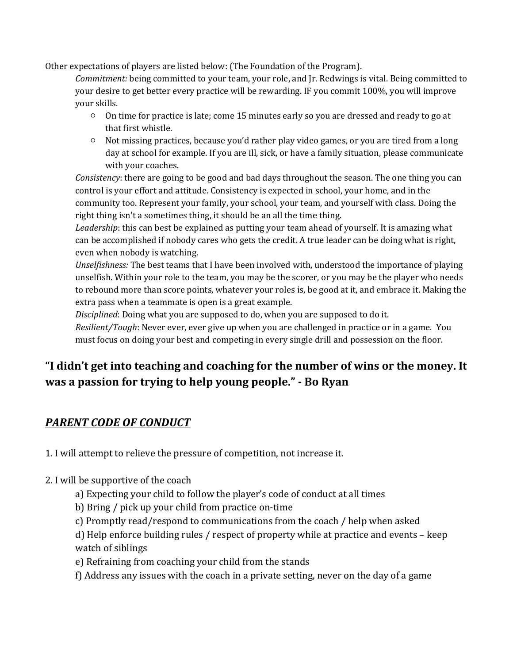Other expectations of players are listed below: (The Foundation of the Program).

*Commitment:* being committed to your team, your role, and Jr. Redwings is vital. Being committed to your desire to get better every practice will be rewarding. IF you commit 100%, you will improve your skills.

- On time for practice is late; come 15 minutes early so you are dressed and ready to go at that first whistle.
- Not missing practices, because you'd rather play video games, or you are tired from a long day at school for example. If you are ill, sick, or have a family situation, please communicate with your coaches.

*Consistency*: there are going to be good and bad days throughout the season. The one thing you can control is your effort and attitude. Consistency is expected in school, your home, and in the community too. Represent your family, your school, your team, and yourself with class. Doing the right thing isn't a sometimes thing, it should be an all the time thing.

*Leadership*: this can best be explained as putting your team ahead of yourself. It is amazing what can be accomplished if nobody cares who gets the credit. A true leader can be doing what is right, even when nobody is watching.

*Unselfishness:* The best teams that I have been involved with, understood the importance of playing unselfish. Within your role to the team, you may be the scorer, or you may be the player who needs to rebound more than score points, whatever your roles is, be good at it, and embrace it. Making the extra pass when a teammate is open is a great example.

*Disciplined*: Doing what you are supposed to do, when you are supposed to do it.

*Resilient/Tough*: Never ever, ever give up when you are challenged in practice or in a game. You must focus on doing your best and competing in every single drill and possession on the floor.

# **"I didn't get into teaching and coaching for the number of wins or the money. It was a passion for trying to help young people." - Bo Ryan**

### *PARENT CODE OF CONDUCT*

1. I will attempt to relieve the pressure of competition, not increase it.

- 2. I will be supportive of the coach
	- a) Expecting your child to follow the player's code of conduct at all times
	- b) Bring / pick up your child from practice on-time
	- c) Promptly read/respond to communications from the coach / help when asked

d) Help enforce building rules / respect of property while at practice and events – keep watch of siblings

e) Refraining from coaching your child from the stands

f) Address any issues with the coach in a private setting, never on the day of a game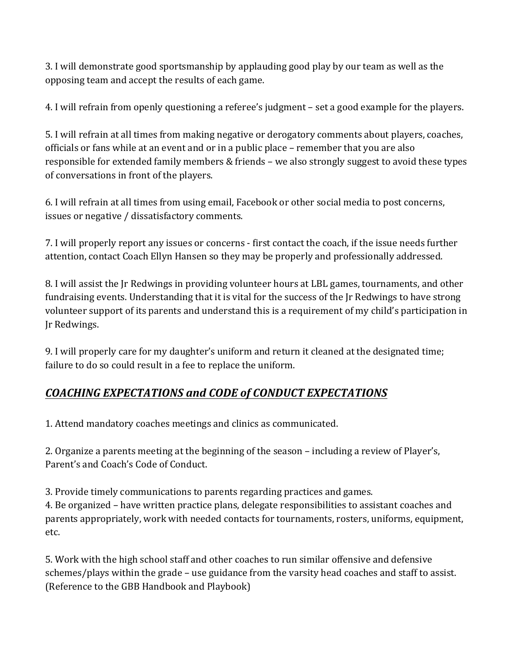3. I will demonstrate good sportsmanship by applauding good play by our team as well as the opposing team and accept the results of each game.

4. I will refrain from openly questioning a referee's judgment – set a good example for the players.

5. I will refrain at all times from making negative or derogatory comments about players, coaches, officials or fans while at an event and or in a public place – remember that you are also responsible for extended family members & friends – we also strongly suggest to avoid these types of conversations in front of the players.

6. I will refrain at all times from using email, Facebook or other social media to post concerns, issues or negative / dissatisfactory comments.

7. I will properly report any issues or concerns - first contact the coach, if the issue needs further attention, contact Coach Ellyn Hansen so they may be properly and professionally addressed.

8. I will assist the Jr Redwings in providing volunteer hours at LBL games, tournaments, and other fundraising events. Understanding that it is vital for the success of the Jr Redwings to have strong volunteer support of its parents and understand this is a requirement of my child's participation in Jr Redwings.

9. I will properly care for my daughter's uniform and return it cleaned at the designated time; failure to do so could result in a fee to replace the uniform.

# *COACHING EXPECTATIONS and CODE of CONDUCT EXPECTATIONS*

1. Attend mandatory coaches meetings and clinics as communicated.

2. Organize a parents meeting at the beginning of the season – including a review of Player's, Parent's and Coach's Code of Conduct.

3. Provide timely communications to parents regarding practices and games.

4. Be organized – have written practice plans, delegate responsibilities to assistant coaches and parents appropriately, work with needed contacts for tournaments, rosters, uniforms, equipment, etc.

5. Work with the high school staff and other coaches to run similar offensive and defensive schemes/plays within the grade – use guidance from the varsity head coaches and staff to assist. (Reference to the GBB Handbook and Playbook)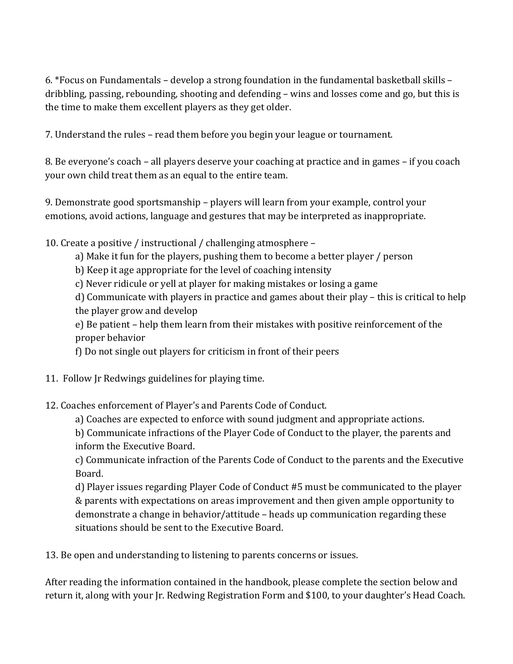6. \*Focus on Fundamentals – develop a strong foundation in the fundamental basketball skills – dribbling, passing, rebounding, shooting and defending – wins and losses come and go, but this is the time to make them excellent players as they get older.

7. Understand the rules – read them before you begin your league or tournament.

8. Be everyone's coach – all players deserve your coaching at practice and in games – if you coach your own child treat them as an equal to the entire team.

9. Demonstrate good sportsmanship – players will learn from your example, control your emotions, avoid actions, language and gestures that may be interpreted as inappropriate.

10. Create a positive / instructional / challenging atmosphere –

a) Make it fun for the players, pushing them to become a better player / person

b) Keep it age appropriate for the level of coaching intensity

c) Never ridicule or yell at player for making mistakes or losing a game

d) Communicate with players in practice and games about their play – this is critical to help the player grow and develop

e) Be patient – help them learn from their mistakes with positive reinforcement of the proper behavior

f) Do not single out players for criticism in front of their peers

11. Follow Jr Redwings guidelines for playing time.

12. Coaches enforcement of Player's and Parents Code of Conduct.

a) Coaches are expected to enforce with sound judgment and appropriate actions.

b) Communicate infractions of the Player Code of Conduct to the player, the parents and inform the Executive Board.

c) Communicate infraction of the Parents Code of Conduct to the parents and the Executive Board.

d) Player issues regarding Player Code of Conduct #5 must be communicated to the player & parents with expectations on areas improvement and then given ample opportunity to demonstrate a change in behavior/attitude – heads up communication regarding these situations should be sent to the Executive Board.

13. Be open and understanding to listening to parents concerns or issues.

After reading the information contained in the handbook, please complete the section below and return it, along with your Jr. Redwing Registration Form and \$100, to your daughter's Head Coach.